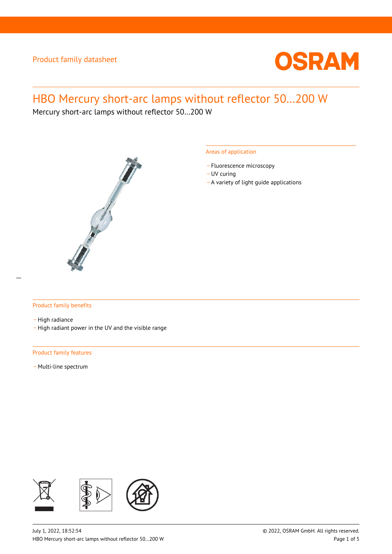

# HBO Mercury short-arc lamps without reflector 50…200 W

Mercury short-arc lamps without reflector 50…200 W



### Areas of application

- Fluorescence microscopy
- UV curing
- \_ A variety of light guide applications

### Product family benefits

- High radiance

\_ High radiant power in the UV and the visible range

### Product family features

- Multi-line spectrum

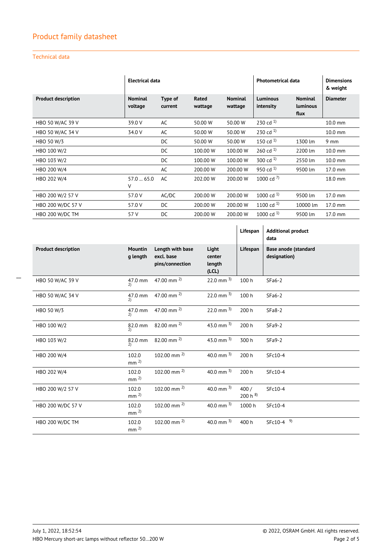### Technical data

|                            | Electrical data           |                    |                  |                           | <b>Photometrical data</b>    |                                    | <b>Dimensions</b><br>& weight |
|----------------------------|---------------------------|--------------------|------------------|---------------------------|------------------------------|------------------------------------|-------------------------------|
| <b>Product description</b> | <b>Nominal</b><br>voltage | Type of<br>current | Rated<br>wattage | <b>Nominal</b><br>wattage | <b>Luminous</b><br>intensity | <b>Nominal</b><br>luminous<br>flux | <b>Diameter</b>               |
| HBO 50 W/AC 39 V           | 39.0 V                    | AC                 | 50.00 W          | 50.00 W                   | 230 cd $^{1}$                |                                    | $10.0$ mm                     |
| <b>HBO 50 W/AC 34 V</b>    | 34.0 V                    | AC                 | 50.00 W          | 50.00 W                   | 230 cd $^{1}$                |                                    | $10.0$ mm                     |
| HBO 50 W/3                 |                           | DC                 | 50.00 W          | 50.00 W                   | 150 cd $^{1}$                | 1300 lm                            | $9 \text{ mm}$                |
| HBO 100 W/2                |                           | DC                 | 100.00 W         | 100.00 W                  | 260 cd $^{1}$                | 2200 lm                            | $10.0$ mm                     |
| HBO 103 W/2                |                           | DC                 | 100.00 W         | 100.00 W                  | 300 cd $^{1}$                | 2550 lm                            | $10.0$ mm                     |
| HBO 200 W/4                |                           | AC                 | 200,00 W         | 200.00 W                  | 950 cd $^{1}$                | 9500 lm                            | 17.0 mm                       |
| HBO 202 W/4                | 57.065.0<br>V             | AC                 | 202.00 W         | 200.00 W                  | 1000 cd $^{7}$               |                                    | 18.0 mm                       |
| HBO 200 W/2 57 V           | 57.0 V                    | AC/DC              | 200,00 W         | 200.00 W                  | 1000 cd $^{1}$               | 9500 lm                            | 17.0 mm                       |
| HBO 200 W/DC 57 V          | 57.0 V                    | DC.                | 200,00 W         | 200.00 W                  | 1100 cd $^{1}$               | 10000 lm                           | 17.0 mm                       |
| HBO 200 W/DC TM            | 57 V                      | DC                 | 200,00 W         | 200.00 W                  | 1000 cd $^{1}$               | 9500 lm                            | 17.0 mm                       |

|                            |                            |                                                   |                                    | Lifespan            | <b>Additional product</b><br>data           |
|----------------------------|----------------------------|---------------------------------------------------|------------------------------------|---------------------|---------------------------------------------|
| <b>Product description</b> | <b>Mountin</b><br>g length | Length with base<br>excl. base<br>pins/connection | Light<br>center<br>length<br>(LCL) | Lifespan            | <b>Base anode (standard</b><br>designation) |
| HBO 50 W/AC 39 V           | 47.0 mm<br>2)              | 47.00 mm $^{2}$ )                                 | 22.0 mm $3$ )                      | 100 h               | $SFa6-2$                                    |
| <b>HBO 50 W/AC 34 V</b>    | $47.0$ mm<br>2)            | 47.00 mm $^{2}$                                   | 22.0 mm $^{3}$                     | 100 h               | $SFa6-2$                                    |
| HBO 50 W/3                 | 47.0 mm<br>2)              | 47.00 mm $^{2}$ )                                 | $22.0$ mm $^{3}$                   | 200 h               | $SFa8-2$                                    |
| HBO 100 W/2                | 82.0 mm<br>$\mathcal{D}$   | 82.00 mm $^{2}$                                   | 43.0 mm $^{3}$                     | 200 h               | $SFa9-2$                                    |
| HBO 103 W/2                | 82.0 mm<br>2)              | 82.00 mm $^{2}$                                   | 43.0 mm $^{3}$                     | 300 h               | $SFa9-2$                                    |
| HBO 200 W/4                | 102.0<br>mm <sup>2</sup>   | 102.00 mm $^{2)}$                                 | 40.0 mm $^{3}$                     | 200 h               | SFc10-4                                     |
| HBO 202 W/4                | 102.0<br>mm <sup>2</sup>   | 102.00 mm $^{2)}$                                 | 40.0 mm $^{3}$                     | 200 h               | SFc10-4                                     |
| HBO 200 W/2 57 V           | 102.0<br>mm <sup>2</sup>   | 102.00 mm $^{2}$ )                                | 40.0 mm $^{3}$                     | 400/<br>$200 h^{8}$ | SFc10-4                                     |
| HBO 200 W/DC 57 V          | 102.0<br>mm <sup>2</sup>   | 102.00 mm $^{2}$ )                                | 40.0 mm $^{3}$                     | 1000 h              | SFc10-4                                     |
| HBO 200 W/DC TM            | 102.0<br>mm <sup>2</sup>   | $102.00$ mm $^{2}$                                | 40.0 mm $^{3}$                     | 400 h               | $SFC10-4$ <sup>9)</sup>                     |

 $\overline{a}$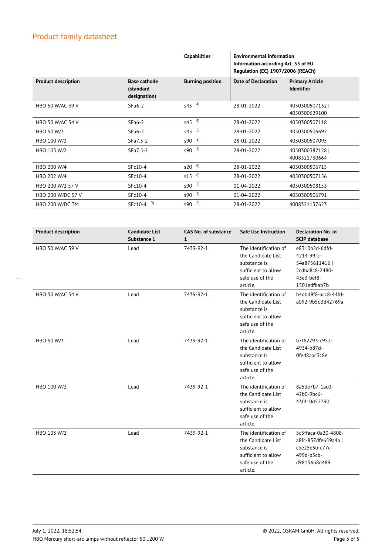|                            |                                                  | <b>Capabilities</b>     | <b>Environmental information</b><br>Information according Art. 33 of EU<br>Regulation (EC) 1907/2006 (REACh) |                                             |  |
|----------------------------|--------------------------------------------------|-------------------------|--------------------------------------------------------------------------------------------------------------|---------------------------------------------|--|
| <b>Product description</b> | <b>Base cathode</b><br>(standard<br>designation) | <b>Burning position</b> | <b>Date of Declaration</b>                                                                                   | <b>Primary Article</b><br><b>Identifier</b> |  |
| HBO 50 W/AC 39 V           | $SFa6-2$                                         | $545 - 4$               | 28-01-2022                                                                                                   | 4050300507132<br>4050300629100              |  |
| HBO 50 W/AC 34 V           | $SFa6-2$                                         | $545 - 4$               | 28-01-2022                                                                                                   | 4050300507118                               |  |
| HBO 50 W/3                 | $SFa6-2$                                         | $545$ <sup>5)</sup>     | 28-01-2022                                                                                                   | 4050300506692                               |  |
| HBO 100 W/2                | SFa7.5-2                                         | $590 - 5$               | 28-01-2022                                                                                                   | 4050300507095                               |  |
| HBO 103 W/2                | SFa7.5-2                                         | $590^{5}$               | 28-01-2022                                                                                                   | 4050300382128<br>4008321730664              |  |
| HBO 200 W/4                | SFc10-4                                          | $520^{6}$               | 28-01-2022                                                                                                   | 4050300506715                               |  |
| HBO 202 W/4                | SFc10-4                                          | $515^{6}$               | 28-01-2022                                                                                                   | 4050300507156                               |  |
| HBO 200 W/2 57 V           | SFc10-4                                          | $590^{5}$               | 01-04-2022                                                                                                   | 4050300508153                               |  |
| HBO 200 W/DC 57 V          | SFc10-4                                          | $590 - 5$               | 01-04-2022                                                                                                   | 4050300506791                               |  |
| HBO 200 W/DC TM            | $SFC10-4$ <sup>9)</sup>                          | $590 - 5$               | 28-01-2022                                                                                                   | 4008321137623                               |  |

| <b>Product description</b> | <b>Candidate List</b><br>Substance 1 | <b>CAS No. of substance</b><br>$\mathbf{1}$ | <b>Safe Use Instruction</b>                                                                                       | <b>Declaration No. in</b><br><b>SCIP database</b>                                              |
|----------------------------|--------------------------------------|---------------------------------------------|-------------------------------------------------------------------------------------------------------------------|------------------------------------------------------------------------------------------------|
| HBO 50 W/AC 39 V           | Lead                                 | 7439-92-1                                   | The identification of<br>the Candidate List<br>substance is<br>sufficient to allow<br>safe use of the<br>article. | e8310b2d-6dfd-<br>4214-99f2-<br>54a875611416  <br>2cdba8c8-2480-<br>43e3-bef8-<br>1501edfbab7b |
| HBO 50 W/AC 34 V           | Lead                                 | 7439-92-1                                   | The identification of<br>the Candidate List<br>substance is<br>sufficient to allow<br>safe use of the<br>article. | b4dbd9f8-acc8-44fd-<br>a092-9b5d3d42769a                                                       |
| HBO 50 W/3                 | Lead                                 | 7439-92-1                                   | The identification of<br>the Candidate List<br>substance is<br>sufficient to allow<br>safe use of the<br>article. | b7f62293-c952-<br>4934-b87d-<br>Ofed8aac3c8e                                                   |
| HBO 100 W/2                | Lead                                 | 7439-92-1                                   | The identification of<br>the Candidate List<br>substance is<br>sufficient to allow<br>safe use of the<br>article. | 8a5de7b7-1ac0-<br>42b0-9bc6-<br>43f410d52790                                                   |
| HBO 103 W/2                | Lead                                 | 7439-92-1                                   | The identification of<br>the Candidate List<br>substance is<br>sufficient to allow<br>safe use of the<br>article. | 5c5ffaca-0a20-4808-<br>a8fc-837dfe659a4a  <br>cbe25e5b-c77c-<br>499d-b5cb-<br>d98156b8d489     |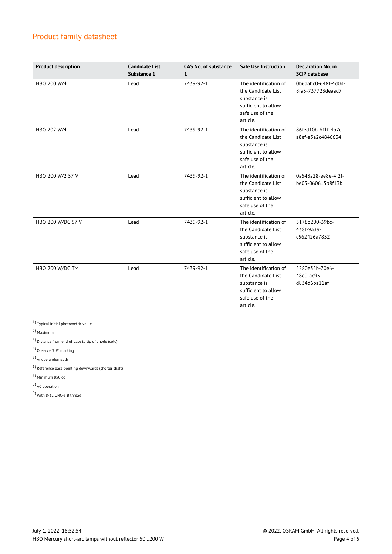| <b>Product description</b> | <b>Candidate List</b><br>Substance 1 | <b>CAS No. of substance</b><br>1 | <b>Safe Use Instruction</b>                                                                                       | <b>Declaration No. in</b><br><b>SCIP database</b> |
|----------------------------|--------------------------------------|----------------------------------|-------------------------------------------------------------------------------------------------------------------|---------------------------------------------------|
| HBO 200 W/4                | Lead                                 | 7439-92-1                        | The identification of<br>the Candidate List<br>substance is<br>sufficient to allow<br>safe use of the<br>article. | 0b6aabc0-648f-4d0d-<br>8fa3-737723deaad7          |
| HBO 202 W/4                | Lead                                 | 7439-92-1                        | The identification of<br>the Candidate List<br>substance is<br>sufficient to allow<br>safe use of the<br>article. | 86fed10b-6f1f-4b7c-<br>a8ef-a5a2c4846634          |
| HBO 200 W/2 57 V           | Lead                                 | 7439-92-1                        | The identification of<br>the Candidate List<br>substance is<br>sufficient to allow<br>safe use of the<br>article. | 0a543a28-ee8e-4f2f-<br>be05-060615b8f13b          |
| HBO 200 W/DC 57 V          | Lead                                 | 7439-92-1                        | The identification of<br>the Candidate List<br>substance is<br>sufficient to allow<br>safe use of the<br>article. | 5178b200-39bc-<br>438f-9a39-<br>c562426a7852      |
| HBO 200 W/DC TM            | Lead                                 | 7439-92-1                        | The identification of<br>the Candidate List<br>substance is<br>sufficient to allow<br>safe use of the<br>article. | 5280e35b-70e6-<br>48e0-ac95-<br>d834d6ba11af      |

 $\overline{a}$ 

1) Typical initial photometric value

2) Maximum

3) Distance from end of base to tip of anode (cold)

4) Observe "UP" marking

5) Anode underneath

6) Reference base pointing downwards (shorter shaft)

7) Minimum 850 cd

8) AC operation

9) With 8-32 UNC-3 B thread